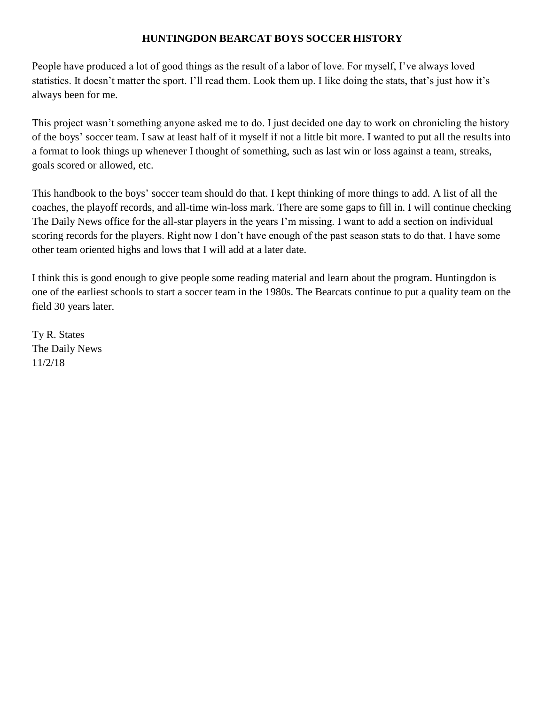# **HUNTINGDON BEARCAT BOYS SOCCER HISTORY**

People have produced a lot of good things as the result of a labor of love. For myself, I've always loved statistics. It doesn't matter the sport. I'll read them. Look them up. I like doing the stats, that's just how it's always been for me.

This project wasn't something anyone asked me to do. I just decided one day to work on chronicling the history of the boys' soccer team. I saw at least half of it myself if not a little bit more. I wanted to put all the results into a format to look things up whenever I thought of something, such as last win or loss against a team, streaks, goals scored or allowed, etc.

This handbook to the boys' soccer team should do that. I kept thinking of more things to add. A list of all the coaches, the playoff records, and all-time win-loss mark. There are some gaps to fill in. I will continue checking The Daily News office for the all-star players in the years I'm missing. I want to add a section on individual scoring records for the players. Right now I don't have enough of the past season stats to do that. I have some other team oriented highs and lows that I will add at a later date.

I think this is good enough to give people some reading material and learn about the program. Huntingdon is one of the earliest schools to start a soccer team in the 1980s. The Bearcats continue to put a quality team on the field 30 years later.

Ty R. States The Daily News 11/2/18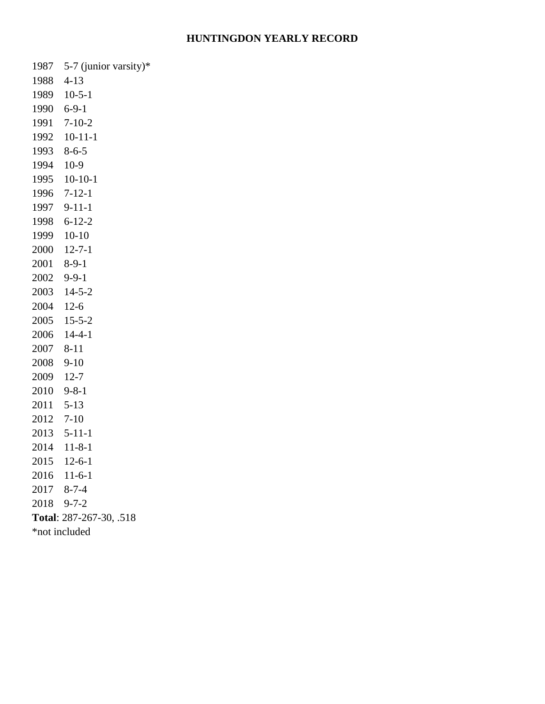#### **HUNTINGDON YEARLY RECORD**

5-7 (junior varsity)\*

4-13

- 10-5-1
- 6-9-1
- 7-10-2
- 10-11-1
- 8-6-5
- 10-9
- 10-10-1
- 7-12-1 9-11-1
- 6-12-2
- 10-10
- 12-7-1
- 8-9-1
- 9-9-1
- 
- 14-5-2
- 12-6
- 15-5-2
- 14-4-1
- 8-11
- 
- 9-10
- 12-7
- 9-8-1
- 
- 5-13
- 7-10
- 5-11-1
- 11-8-1
- 12-6-1
- 11-6-1
- 8-7-4
- 
- 9-7-2
- **Total**: 287-267-30, .518
- \*not included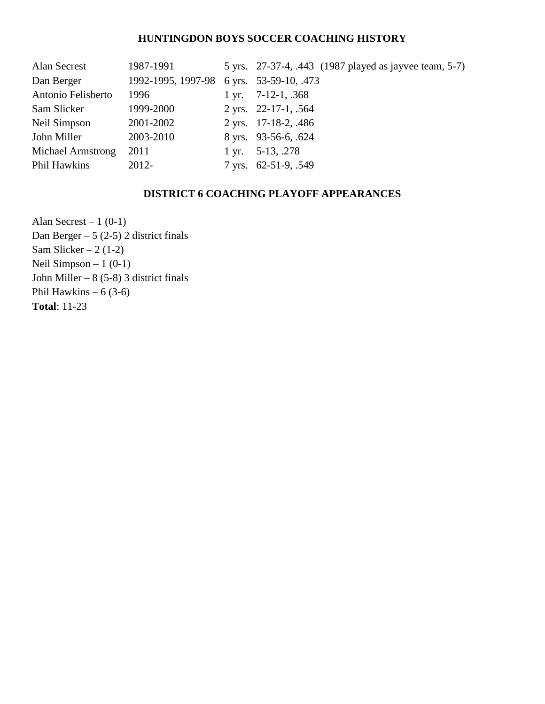### **HUNTINGDON BOYS SOCCER COACHING HISTORY**

| Alan Secrest       | 1987-1991                               | 5 yrs. 27-37-4, .443 (1987 played as jayvee team, 5-7) |
|--------------------|-----------------------------------------|--------------------------------------------------------|
| Dan Berger         | 1992-1995, 1997-98 6 yrs. 53-59-10, 473 |                                                        |
| Antonio Felisberto | 1996                                    | 1 yr. $7-12-1$ , $368$                                 |
| Sam Slicker        | 1999-2000                               | 2 yrs. $22-17-1$ , .564                                |
| Neil Simpson       | 2001-2002                               | 2 yrs. 17-18-2, 486                                    |
| John Miller        | 2003-2010                               | 8 yrs. 93-56-6, 624                                    |
| Michael Armstrong  | 2011                                    | 1 yr. $5-13$ , 278                                     |
| Phil Hawkins       | 2012-                                   | 7 yrs. 62-51-9, .549                                   |

## **DISTRICT 6 COACHING PLAYOFF APPEARANCES**

Alan Secrest – 1  $(0-1)$ Dan Berger –  $5(2-5)$  2 district finals Sam Slicker –  $2(1-2)$ Neil Simpson  $-1$  (0-1) John Miller –  $8(5-8)$  3 district finals Phil Hawkins –  $6(3-6)$ **Total**: 11-23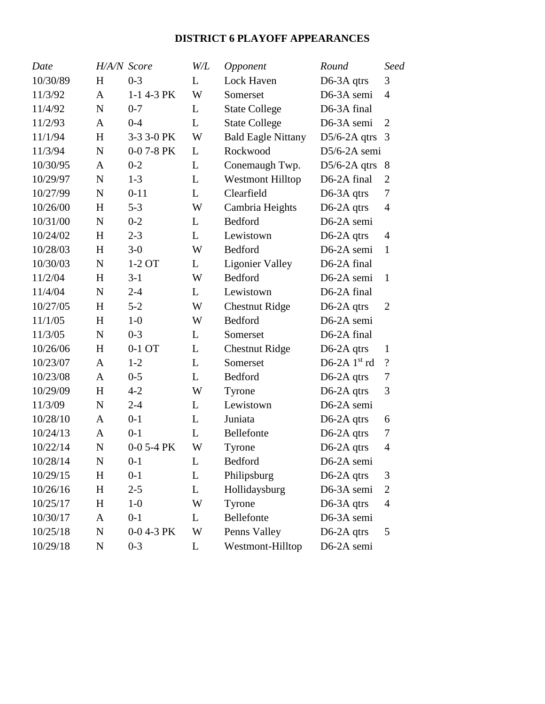# **DISTRICT 6 PLAYOFF APPEARANCES**

| Date     |              | H/A/N Score  | W/L | Opponent                  | Round                      | Seed                     |
|----------|--------------|--------------|-----|---------------------------|----------------------------|--------------------------|
| 10/30/89 | H            | $0 - 3$      | L   | Lock Haven                | D6-3A qtrs                 | 3                        |
| 11/3/92  | $\mathbf{A}$ | 1-1 4-3 PK   | W   | Somerset                  | D6-3A semi                 | $\overline{4}$           |
| 11/4/92  | N            | $0 - 7$      | L   | <b>State College</b>      | D6-3A final                |                          |
| 11/2/93  | $\mathbf{A}$ | $0 - 4$      | L   | <b>State College</b>      | D6-3A semi                 | $\overline{2}$           |
| 11/1/94  | H            | 3-3 3-0 PK   | W   | <b>Bald Eagle Nittany</b> | $D5/6-2A$ qtrs             | 3                        |
| 11/3/94  | $\mathbf N$  | $0-0$ 7-8 PK | L   | Rockwood                  | $D5/6-2A$ semi             |                          |
| 10/30/95 | $\mathbf{A}$ | $0 - 2$      | L   | Conemaugh Twp.            | $D5/6-2A$ qtrs             | 8                        |
| 10/29/97 | $\mathbf N$  | $1-3$        | L   | <b>Westmont Hilltop</b>   | D6-2A final                | $\overline{2}$           |
| 10/27/99 | N            | $0 - 11$     | L   | Clearfield                | D <sub>6</sub> -3A $q$ trs | 7                        |
| 10/26/00 | H            | $5 - 3$      | W   | Cambria Heights           | $D6-2A$ qtrs               | $\overline{4}$           |
| 10/31/00 | N            | $0 - 2$      | L   | Bedford                   | D6-2A semi                 |                          |
| 10/24/02 | H            | $2 - 3$      | L   | Lewistown                 | $D6-2A$ qtrs               | $\overline{4}$           |
| 10/28/03 | H            | $3-0$        | W   | Bedford                   | D6-2A semi                 | $\mathbf{1}$             |
| 10/30/03 | N            | 1-2 OT       | L   | <b>Ligonier Valley</b>    | D6-2A final                |                          |
| 11/2/04  | H            | $3-1$        | W   | Bedford                   | D6-2A semi                 | $\mathbf{1}$             |
| 11/4/04  | $\mathbf N$  | $2 - 4$      | L   | Lewistown                 | D6-2A final                |                          |
| 10/27/05 | H            | $5 - 2$      | W   | <b>Chestnut Ridge</b>     | D6-2A qtrs                 | $\overline{2}$           |
| 11/1/05  | H            | $1-0$        | W   | Bedford                   | D6-2A semi                 |                          |
| 11/3/05  | $\mathbf N$  | $0 - 3$      | L   | Somerset                  | D6-2A final                |                          |
| 10/26/06 | H            | 0-1 OT       | L   | <b>Chestnut Ridge</b>     | D6-2A qtrs                 | 1                        |
| 10/23/07 | $\mathbf{A}$ | $1-2$        | L   | Somerset                  | D6-2A $1st$ rd             | $\overline{\mathcal{L}}$ |
| 10/23/08 | $\mathbf{A}$ | $0 - 5$      | L   | Bedford                   | D6-2A qtrs                 | 7                        |
| 10/29/09 | H            | $4 - 2$      | W   | Tyrone                    | D6-2A qtrs                 | 3                        |
| 11/3/09  | $\mathbf N$  | $2 - 4$      | L   | Lewistown                 | D6-2A semi                 |                          |
| 10/28/10 | A            | $0 - 1$      | L   | Juniata                   | $D6-2A$ qtrs               | 6                        |
| 10/24/13 | A            | $0 - 1$      | L   | Bellefonte                | $D6-2A$ qtrs               | 7                        |
| 10/22/14 | $\mathbf N$  | $0-0$ 5-4 PK | W   | Tyrone                    | D6-2A qtrs                 | $\overline{4}$           |
| 10/28/14 | N            | $0 - 1$      | L   | <b>Bedford</b>            | D6-2A semi                 |                          |
| 10/29/15 | H            | $0 - 1$      | L   | Philipsburg               | $D6-2A$ qtrs               | 3                        |
| 10/26/16 | $H_{\rm}$    | $2 - 5$      | L   | Hollidaysburg             | D6-3A semi                 | 2                        |
| 10/25/17 | H            | $1-0$        | W   | Tyrone                    | D6-3A qtrs                 | $\overline{4}$           |
| 10/30/17 | A            | $0 - 1$      | L   | Bellefonte                | D6-3A semi                 |                          |
| 10/25/18 | $\mathbf N$  | 0-0 4-3 PK   | W   | Penns Valley              | $D6-2A$ qtrs               | 5                        |
| 10/29/18 | N            | $0 - 3$      | L   | Westmont-Hilltop          | D6-2A semi                 |                          |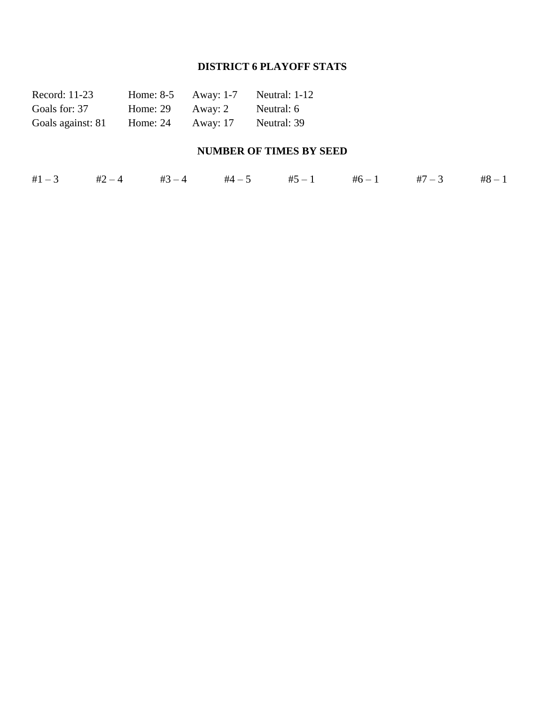# **DISTRICT 6 PLAYOFF STATS**

| Record: 11-23     | Home: $8-5$ | Away: 1-7       | Neutral: 1-12 |
|-------------------|-------------|-----------------|---------------|
| Goals for: 37     | Home: $29$  | Away: 2         | Neutral: 6    |
| Goals against: 81 | Home: $24$  | <b>Away: 17</b> | Neutral: 39   |

# **NUMBER OF TIMES BY SEED**

| #1 $-3$ #2 $-4$ #3 $-4$ #4 $-5$ #5 $-1$ #6 $-1$ #7 $-3$ #8 $-1$ |  |  |  |  |  |  |  |  |
|-----------------------------------------------------------------|--|--|--|--|--|--|--|--|
|-----------------------------------------------------------------|--|--|--|--|--|--|--|--|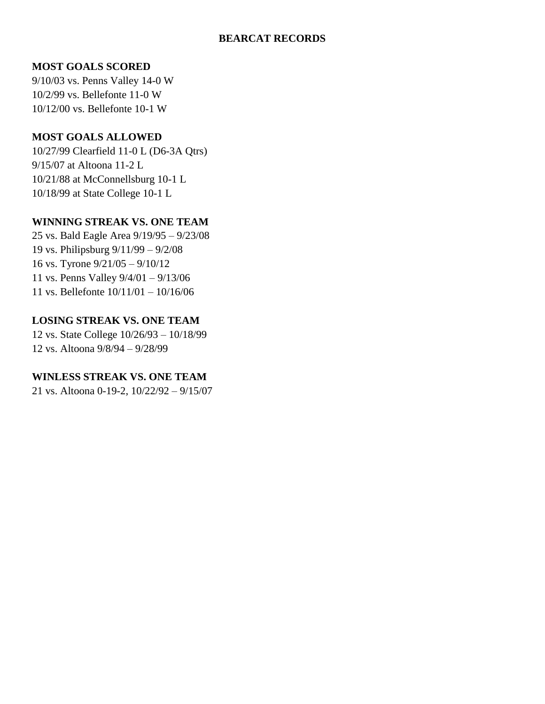### **BEARCAT RECORDS**

## **MOST GOALS SCORED**

9/10/03 vs. Penns Valley 14-0 W 10/2/99 vs. Bellefonte 11-0 W 10/12/00 vs. Bellefonte 10-1 W

### **MOST GOALS ALLOWED**

10/27/99 Clearfield 11-0 L (D6-3A Qtrs) 9/15/07 at Altoona 11-2 L 10/21/88 at McConnellsburg 10-1 L 10/18/99 at State College 10-1 L

# **WINNING STREAK VS. ONE TEAM**

25 vs. Bald Eagle Area 9/19/95 – 9/23/08 19 vs. Philipsburg 9/11/99 – 9/2/08 16 vs. Tyrone 9/21/05 – 9/10/12 11 vs. Penns Valley 9/4/01 – 9/13/06 11 vs. Bellefonte 10/11/01 – 10/16/06

# **LOSING STREAK VS. ONE TEAM**

12 vs. State College 10/26/93 – 10/18/99 12 vs. Altoona 9/8/94 – 9/28/99

# **WINLESS STREAK VS. ONE TEAM**

21 vs. Altoona 0-19-2, 10/22/92 – 9/15/07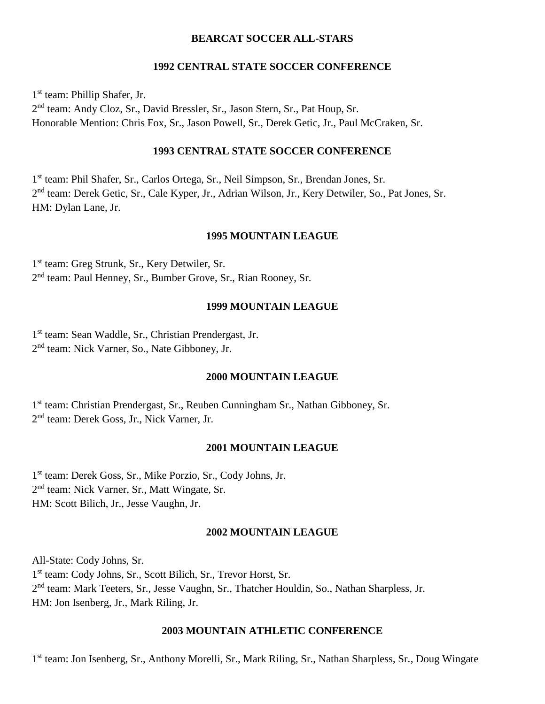#### **BEARCAT SOCCER ALL-STARS**

#### **1992 CENTRAL STATE SOCCER CONFERENCE**

1 st team: Phillip Shafer, Jr. 2<sup>nd</sup> team: Andy Cloz, Sr., David Bressler, Sr., Jason Stern, Sr., Pat Houp, Sr. Honorable Mention: Chris Fox, Sr., Jason Powell, Sr., Derek Getic, Jr., Paul McCraken, Sr.

### **1993 CENTRAL STATE SOCCER CONFERENCE**

1<sup>st</sup> team: Phil Shafer, Sr., Carlos Ortega, Sr., Neil Simpson, Sr., Brendan Jones, Sr. 2<sup>nd</sup> team: Derek Getic, Sr., Cale Kyper, Jr., Adrian Wilson, Jr., Kery Detwiler, So., Pat Jones, Sr. HM: Dylan Lane, Jr.

#### **1995 MOUNTAIN LEAGUE**

1 st team: Greg Strunk, Sr., Kery Detwiler, Sr. 2<sup>nd</sup> team: Paul Henney, Sr., Bumber Grove, Sr., Rian Rooney, Sr.

#### **1999 MOUNTAIN LEAGUE**

1 st team: Sean Waddle, Sr., Christian Prendergast, Jr. 2<sup>nd</sup> team: Nick Varner, So., Nate Gibboney, Jr.

### **2000 MOUNTAIN LEAGUE**

1<sup>st</sup> team: Christian Prendergast, Sr., Reuben Cunningham Sr., Nathan Gibboney, Sr. 2 nd team: Derek Goss, Jr., Nick Varner, Jr.

#### **2001 MOUNTAIN LEAGUE**

1 st team: Derek Goss, Sr., Mike Porzio, Sr., Cody Johns, Jr. 2<sup>nd</sup> team: Nick Varner, Sr., Matt Wingate, Sr. HM: Scott Bilich, Jr., Jesse Vaughn, Jr.

#### **2002 MOUNTAIN LEAGUE**

All-State: Cody Johns, Sr. 1 st team: Cody Johns, Sr., Scott Bilich, Sr., Trevor Horst, Sr. 2<sup>nd</sup> team: Mark Teeters, Sr., Jesse Vaughn, Sr., Thatcher Houldin, So., Nathan Sharpless, Jr. HM: Jon Isenberg, Jr., Mark Riling, Jr.

#### **2003 MOUNTAIN ATHLETIC CONFERENCE**

1<sup>st</sup> team: Jon Isenberg, Sr., Anthony Morelli, Sr., Mark Riling, Sr., Nathan Sharpless, Sr., Doug Wingate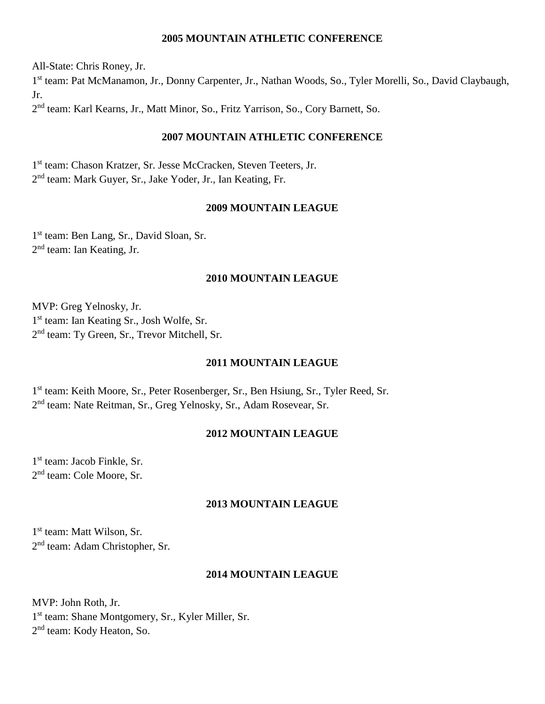### **2005 MOUNTAIN ATHLETIC CONFERENCE**

All-State: Chris Roney, Jr. 1<sup>st</sup> team: Pat McManamon, Jr., Donny Carpenter, Jr., Nathan Woods, So., Tyler Morelli, So., David Claybaugh, Jr. 2<sup>nd</sup> team: Karl Kearns, Jr., Matt Minor, So., Fritz Yarrison, So., Cory Barnett, So.

#### **2007 MOUNTAIN ATHLETIC CONFERENCE**

1 st team: Chason Kratzer, Sr. Jesse McCracken, Steven Teeters, Jr. 2<sup>nd</sup> team: Mark Guyer, Sr., Jake Yoder, Jr., Ian Keating, Fr.

### **2009 MOUNTAIN LEAGUE**

1<sup>st</sup> team: Ben Lang, Sr., David Sloan, Sr. 2<sup>nd</sup> team: Ian Keating, Jr.

### **2010 MOUNTAIN LEAGUE**

MVP: Greg Yelnosky, Jr. 1<sup>st</sup> team: Ian Keating Sr., Josh Wolfe, Sr. 2<sup>nd</sup> team: Ty Green, Sr., Trevor Mitchell, Sr.

#### **2011 MOUNTAIN LEAGUE**

1 st team: Keith Moore, Sr., Peter Rosenberger, Sr., Ben Hsiung, Sr., Tyler Reed, Sr. 2<sup>nd</sup> team: Nate Reitman, Sr., Greg Yelnosky, Sr., Adam Rosevear, Sr.

### **2012 MOUNTAIN LEAGUE**

1 st team: Jacob Finkle, Sr. 2<sup>nd</sup> team: Cole Moore, Sr.

#### **2013 MOUNTAIN LEAGUE**

1 st team: Matt Wilson, Sr. 2<sup>nd</sup> team: Adam Christopher, Sr.

### **2014 MOUNTAIN LEAGUE**

MVP: John Roth, Jr. 1 st team: Shane Montgomery, Sr., Kyler Miller, Sr. 2<sup>nd</sup> team: Kody Heaton, So.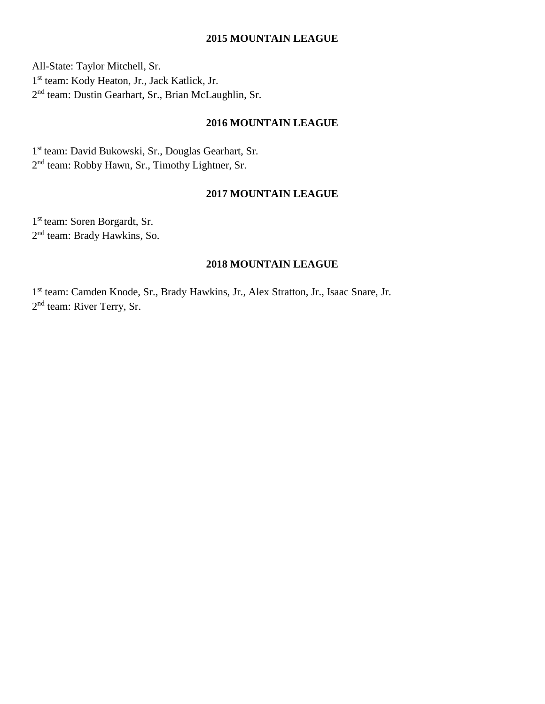#### **2015 MOUNTAIN LEAGUE**

All-State: Taylor Mitchell, Sr. 1 st team: Kody Heaton, Jr., Jack Katlick, Jr. 2<sup>nd</sup> team: Dustin Gearhart, Sr., Brian McLaughlin, Sr.

## **2016 MOUNTAIN LEAGUE**

1 st team: David Bukowski, Sr., Douglas Gearhart, Sr. 2<sup>nd</sup> team: Robby Hawn, Sr., Timothy Lightner, Sr.

#### **2017 MOUNTAIN LEAGUE**

1 st team: Soren Borgardt, Sr. 2<sup>nd</sup> team: Brady Hawkins, So.

## **2018 MOUNTAIN LEAGUE**

1<sup>st</sup> team: Camden Knode, Sr., Brady Hawkins, Jr., Alex Stratton, Jr., Isaac Snare, Jr. 2<sup>nd</sup> team: River Terry, Sr.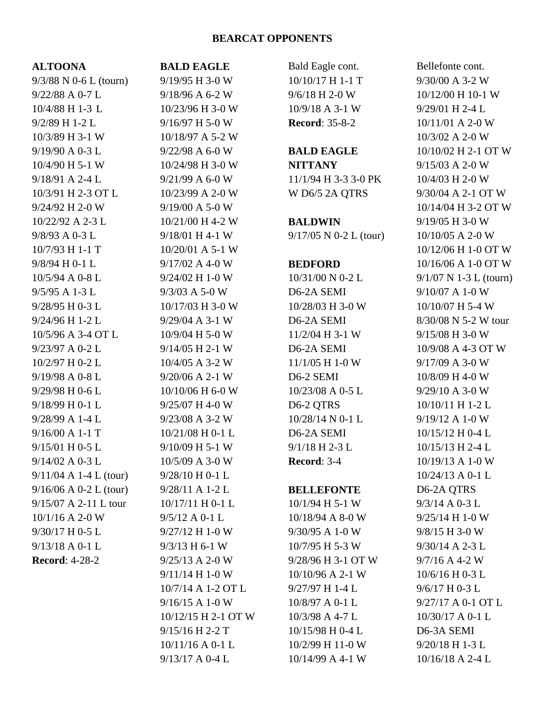#### **BEARCAT OPPONENTS**

| <b>ALTOONA</b>           | J                                                                                                                                                                                                                                                                                                                                                                                                                       |
|--------------------------|-------------------------------------------------------------------------------------------------------------------------------------------------------------------------------------------------------------------------------------------------------------------------------------------------------------------------------------------------------------------------------------------------------------------------|
| $9/3/88$ N 0-6 L (tourn) | $\ddot{\phantom{0}}$                                                                                                                                                                                                                                                                                                                                                                                                    |
| 9/22/88 A 0-7 L          |                                                                                                                                                                                                                                                                                                                                                                                                                         |
| 10/4/88 H 1-3 L          |                                                                                                                                                                                                                                                                                                                                                                                                                         |
| 9/2/89 H 1-2 L           |                                                                                                                                                                                                                                                                                                                                                                                                                         |
| 10/3/89 H 3-1 W          | $\frac{1}{2}$ $\frac{1}{2}$ $\frac{1}{2}$ $\frac{1}{2}$ $\frac{1}{2}$ $\frac{1}{2}$ $\frac{1}{2}$ $\frac{1}{2}$ $\frac{1}{2}$ $\frac{1}{2}$ $\frac{1}{2}$ $\frac{1}{2}$ $\frac{1}{2}$ $\frac{1}{2}$ $\frac{1}{2}$ $\frac{1}{2}$ $\frac{1}{2}$ $\frac{1}{2}$ $\frac{1}{2}$ $\frac{1}{2}$ $\frac{1}{2}$ $\frac{1}{2}$                                                                                                     |
| 9/19/90 A 0-3 L          |                                                                                                                                                                                                                                                                                                                                                                                                                         |
| 10/4/90 H 5-1 W          | $\frac{1}{2}$                                                                                                                                                                                                                                                                                                                                                                                                           |
| 9/18/91 A 2-4 L          |                                                                                                                                                                                                                                                                                                                                                                                                                         |
| 10/3/91 H 2-3 OT L       | $\frac{1}{2}$                                                                                                                                                                                                                                                                                                                                                                                                           |
| 9/24/92 H 2-0 W          |                                                                                                                                                                                                                                                                                                                                                                                                                         |
| 10/22/92 A 2-3 L         | $\frac{1}{2}$                                                                                                                                                                                                                                                                                                                                                                                                           |
| 9/8/93 A 0-3 L           |                                                                                                                                                                                                                                                                                                                                                                                                                         |
| 10/7/93 H 1-1 T          |                                                                                                                                                                                                                                                                                                                                                                                                                         |
| 9/8/94 H 0-1 L           |                                                                                                                                                                                                                                                                                                                                                                                                                         |
| 10/5/94 A 0-8 L          | $\begin{array}{c} \n\text{1} & \text{1} & \text{1} & \text{1} & \text{1} & \text{1} & \text{1} & \text{1} & \text{1} & \text{1} & \text{1} & \text{1} & \text{1} & \text{1} & \text{1} & \text{1} & \text{1} & \text{1} & \text{1} & \text{1} & \text{1} & \text{1} & \text{1} & \text{1} & \text{1} & \text{1} & \text{1} & \text{1} & \text{1} & \text{1} & \text{1} & \text{1} & \text{1} & \text{1} & \text{1} & \$ |
| 9/5/95 A 1-3 L           |                                                                                                                                                                                                                                                                                                                                                                                                                         |
| 9/28/95 H 0-3 L          |                                                                                                                                                                                                                                                                                                                                                                                                                         |
| 9/24/96 H 1-2 L          |                                                                                                                                                                                                                                                                                                                                                                                                                         |
| 10/5/96 A 3-4 OT L       | $\frac{1}{2}$                                                                                                                                                                                                                                                                                                                                                                                                           |
| 9/23/97 A 0-2 L          |                                                                                                                                                                                                                                                                                                                                                                                                                         |
| 10/2/97 H 0-2 L          | $\frac{1}{2}$                                                                                                                                                                                                                                                                                                                                                                                                           |
| 9/19/98 A 0-8 L          |                                                                                                                                                                                                                                                                                                                                                                                                                         |
| 9/29/98 H 0-6 L          | $\frac{1}{2}$                                                                                                                                                                                                                                                                                                                                                                                                           |
| 9/18/99 H 0-1 L          | $\ddot{\phantom{a}}$                                                                                                                                                                                                                                                                                                                                                                                                    |
| 9/28/99 A 1-4 L          |                                                                                                                                                                                                                                                                                                                                                                                                                         |
| 9/16/00 A 1-1 T          | $\frac{1}{2}$                                                                                                                                                                                                                                                                                                                                                                                                           |
| 9/15/01 H 0-5 L          | $\ddot{\phantom{0}}$                                                                                                                                                                                                                                                                                                                                                                                                    |
| 9/14/02 A 0-3 L          |                                                                                                                                                                                                                                                                                                                                                                                                                         |
| $9/11/04$ A 1-4 L (tour) |                                                                                                                                                                                                                                                                                                                                                                                                                         |
| $9/16/06$ A 0-2 L (tour) |                                                                                                                                                                                                                                                                                                                                                                                                                         |
| 9/15/07 A 2-11 L tour    |                                                                                                                                                                                                                                                                                                                                                                                                                         |
| 10/1/16 A 2-0 W          |                                                                                                                                                                                                                                                                                                                                                                                                                         |
| 9/30/17 H 0-5 L          |                                                                                                                                                                                                                                                                                                                                                                                                                         |
| 9/13/18 A 0-1 L          |                                                                                                                                                                                                                                                                                                                                                                                                                         |
| <b>Record: 4-28-2</b>    | $\frac{1}{2}$ $\frac{1}{2}$ $\frac{1}{2}$ $\frac{1}{2}$ $\frac{1}{2}$ $\frac{1}{2}$ $\frac{1}{2}$ $\frac{1}{2}$ $\frac{1}{2}$ $\frac{1}{2}$ $\frac{1}{2}$ $\frac{1}{2}$ $\frac{1}{2}$ $\frac{1}{2}$ $\frac{1}{2}$ $\frac{1}{2}$ $\frac{1}{2}$ $\frac{1}{2}$ $\frac{1}{2}$ $\frac{1}{2}$ $\frac{1}{2}$ $\frac{1}{2}$                                                                                                     |
|                          |                                                                                                                                                                                                                                                                                                                                                                                                                         |
|                          |                                                                                                                                                                                                                                                                                                                                                                                                                         |
|                          |                                                                                                                                                                                                                                                                                                                                                                                                                         |

**BALD EAGLE** 9/19/95 H 3-0 W 9/18/96 A 6-2 W 10/23/96 H 3-0 W 9/16/97 H 5-0 W 10/18/97 A 5-2 W 9/22/98 A 6-0 W 10/24/98 H 3-0 W 9/21/99 A 6-0 W 10/23/99 A 2-0 W 9/19/00 A 5-0 W 10/21/00 H 4-2 W 9/18/01 H 4-1 W 10/20/01 A 5-1 W 9/17/02 A 4-0 W 9/24/02 H 1-0 W 9/3/03 A 5-0 W 10/17/03 H 3-0 W 9/29/04 A 3-1 W 10/9/04 H 5-0 W 9/14/05 H 2-1 W 10/4/05 A 3-2 W 9/20/06 A 2-1 W 10/10/06 H 6-0 W 9/25/07 H 4-0 W 9/23/08 A 3-2 W 10/21/08 H 0-1 L 9/10/09 H 5-1 W 10/5/09 A 3-0 W 9/28/10 H 0-1 L 9/28/11 A 1-2 L 10/17/11 H 0-1 L 9/5/12 A 0-1 L 9/27/12 H 1-0 W 9/3/13 H 6-1 W 9/25/13 A 2-0 W 9/11/14 H 1-0 W 10/7/14 A 1-2 OT L 9/16/15 A 1-0 W 10/12/15 H 2-1 OT W 9/15/16 H 2-2 T 10/11/16 A 0-1 L 9/13/17 A 0-4 L

Bald Eagle cont. 10/10/17 H 1-1 T 9/6/18 H 2-0 W 10/9/18 A 3-1 W **Record**: 35-8-2 **BALD EAGLE NITTANY**

11/1/94 H 3-3 3-0 PK W D6/5 2A QTRS

# **BALDWIN**

9/17/05 N 0-2 L (tour)

### **BEDFORD**

10/31/00 N 0-2 L D6-2A SEMI 10/28/03 H 3-0 W D6-2A SEMI 11/2/04 H 3-1 W D6-2A SEMI 11/1/05 H 1-0 W D6-2 SEMI 10/23/08 A 0-5 L D6-2 QTRS 10/28/14 N 0-1 L D6-2A SEMI 9/1/18 H 2-3 L **Record**: 3-4

### **BELLEFONTE**

10/1/94 H 5-1 W 10/18/94 A 8-0 W 9/30/95 A 1-0 W 10/7/95 H 5-3 W 9/28/96 H 3-1 OT W 10/10/96 A 2-1 W 9/27/97 H 1-4 L 10/8/97 A 0-1 L 10/3/98 A 4-7 L 10/15/98 H 0-4 L 10/2/99 H 11-0 W 10/14/99 A 4-1 W

Bellefonte cont. 9/30/00 A 3-2 W 10/12/00 H 10-1 W 9/29/01 H 2-4 L 10/11/01 A 2-0 W 10/3/02 A 2-0 W 10/10/02 H 2-1 OT W 9/15/03 A 2-0 W 10/4/03 H 2-0 W 9/30/04 A 2-1 OT W 10/14/04 H 3-2 OT W 9/19/05 H 3-0 W 10/10/05 A 2-0 W 10/12/06 H 1-0 OT W 10/16/06 A 1-0 OT W 9/1/07 N 1-3 L (tourn) 9/10/07 A 1-0 W 10/10/07 H 5-4 W 8/30/08 N 5-2 W tour 9/15/08 H 3-0 W 10/9/08 A 4-3 OT W 9/17/09 A 3-0 W 10/8/09 H 4-0 W 9/29/10 A 3-0 W 10/10/11 H 1-2 L 9/19/12 A 1-0 W 10/15/12 H 0-4 L 10/15/13 H 2-4 L 10/19/13 A 1-0 W 10/24/13 A 0-1 L D6-2A QTRS 9/3/14 A 0-3 L 9/25/14 H 1-0 W 9/8/15 H 3-0 W 9/30/14 A 2-3 L 9/7/16 A 4-2 W 10/6/16 H 0-3 L 9/6/17 H 0-3 L 9/27/17 A 0-1 OT L 10/30/17 A 0-1 L D6-3A SEMI 9/20/18 H 1-3 L 10/16/18 A 2-4 L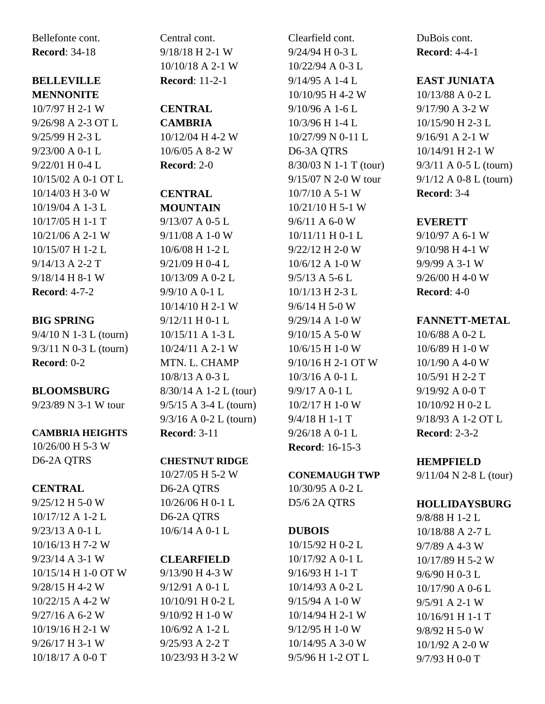Bellefonte cont. **Record**: 34-18

### **BELLEVILLE MENNONITE**

10/7/97 H 2-1 W 9/26/98 A 2-3 OT L 9/25/99 H 2-3 L 9/23/00 A 0-1 L 9/22/01 H 0-4 L 10/15/02 A 0-1 OT L 10/14/03 H 3-0 W 10/19/04 A 1-3 L 10/17/05 H 1-1 T 10/21/06 A 2-1 W 10/15/07 H 1-2 L 9/14/13 A 2-2 T 9/18/14 H 8-1 W **Record**: 4-7-2

# **BIG SPRING**

9/4/10 N 1-3 L (tourn) 9/3/11 N 0-3 L (tourn) **Record**: 0-2

# **BLOOMSBURG**

9/23/89 N 3-1 W tour

# **CAMBRIA HEIGHTS**

10/26/00 H 5-3 W D6-2A QTRS

# **CENTRAL**

9/25/12 H 5-0 W 10/17/12 A 1-2 L 9/23/13 A 0-1 L 10/16/13 H 7-2 W 9/23/14 A 3-1 W 10/15/14 H 1-0 OT W 9/28/15 H 4-2 W 10/22/15 A 4-2 W 9/27/16 A 6-2 W 10/19/16 H 2-1 W 9/26/17 H 3-1 W 10/18/17 A 0-0 T

Central cont. 9/18/18 H 2-1 W 10/10/18 A 2-1 W **Record**: 11-2-1

# **CENTRAL**

**CAMBRIA** 10/12/04 H 4-2 W 10/6/05 A 8-2 W **Record**: 2-0

# **CENTRAL**

**MOUNTAIN** 9/13/07 A 0-5 L 9/11/08 A 1-0 W 10/6/08 H 1-2 L 9/21/09 H 0-4 L 10/13/09 A 0-2 L 9/9/10 A 0-1 L 10/14/10 H 2-1 W 9/12/11 H 0-1 L 10/15/11 A 1-3 L 10/24/11 A 2-1 W MTN. L. CHAMP 10/8/13 A 0-3 L 8/30/14 A 1-2 L (tour) 9/5/15 A 3-4 L (tourn) 9/3/16 A 0-2 L (tourn) **Record**: 3-11

# **CHESTNUT RIDGE**

10/27/05 H 5-2 W D6-2A QTRS 10/26/06 H 0-1 L D6-2A QTRS 10/6/14 A 0-1 L

# **CLEARFIELD**

9/13/90 H 4-3 W 9/12/91 A 0-1 L 10/10/91 H 0-2 L 9/10/92 H 1-0 W 10/6/92 A 1-2 L 9/25/93 A 2-2 T 10/23/93 H 3-2 W

Clearfield cont. 9/24/94 H 0-3 L 10/22/94 A 0-3 L 9/14/95 A 1-4 L 10/10/95 H 4-2 W 9/10/96 A 1-6 L 10/3/96 H 1-4 L 10/27/99 N 0-11 L D6-3A QTRS 8/30/03 N 1-1 T (tour) 9/15/07 N 2-0 W tour 10/7/10 A 5-1 W 10/21/10 H 5-1 W 9/6/11 A 6-0 W 10/11/11 H 0-1 L 9/22/12 H 2-0 W 10/6/12 A 1-0 W 9/5/13 A 5-6 L 10/1/13 H 2-3 L 9/6/14 H 5-0 W 9/29/14 A 1-0 W 9/10/15 A 5-0 W 10/6/15 H 1-0 W 9/10/16 H 2-1 OT W 10/3/16 A 0-1 L 9/9/17 A 0-1 L 10/2/17 H 1-0 W 9/4/18 H 1-1 T 9/26/18 A 0-1 L **Record**: 16-15-3

# **CONEMAUGH TWP**

10/30/95 A 0-2 L D5/6 2A QTRS

# **DUBOIS**

10/15/92 H 0-2 L 10/17/92 A 0-1 L 9/16/93 H 1-1 T 10/14/93 A 0-2 L 9/15/94 A 1-0 W 10/14/94 H 2-1 W 9/12/95 H 1-0 W 10/14/95 A 3-0 W 9/5/96 H 1-2 OT L DuBois cont. **Record**: 4-4-1

# **EAST JUNIATA**

10/13/88 A 0-2 L 9/17/90 A 3-2 W 10/15/90 H 2-3 L 9/16/91 A 2-1 W 10/14/91 H 2-1 W 9/3/11 A 0-5 L (tourn) 9/1/12 A 0-8 L (tourn) **Record**: 3-4

# **EVERETT**

9/10/97 A 6-1 W 9/10/98 H 4-1 W 9/9/99 A 3-1 W 9/26/00 H 4-0 W **Record**: 4-0

# **FANNETT-METAL**

10/6/88 A 0-2 L 10/6/89 H 1-0 W 10/1/90 A 4-0 W 10/5/91 H 2-2 T 9/19/92 A 0-0 T 10/10/92 H 0-2 L 9/18/93 A 1-2 OT L **Record**: 2-3-2

# **HEMPFIELD**

9/11/04 N 2-8 L (tour)

# **HOLLIDAYSBURG**

9/8/88 H 1-2 L 10/18/88 A 2-7 L 9/7/89 A 4-3 W 10/17/89 H 5-2 W 9/6/90 H 0-3 L 10/17/90 A 0-6 L 9/5/91 A 2-1 W 10/16/91 H 1-1 T 9/8/92 H 5-0 W 10/1/92 A 2-0 W 9/7/93 H 0-0 T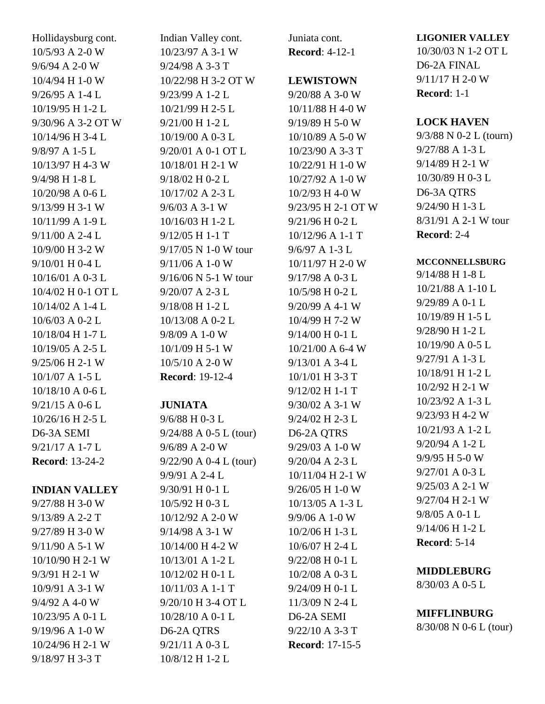Hollidaysburg cont. 10/5/93 A 2-0 W 9/6/94 A 2-0 W 10/4/94 H 1-0 W 9/26/95 A 1-4 L 10/19/95 H 1-2 L 9/30/96 A 3-2 OT W 10/14/96 H 3-4 L 9/8/97 A 1-5 L 10/13/97 H 4-3 W 9/4/98 H 1-8 L 10/20/98 A 0-6 L 9/13/99 H 3-1 W 10/11/99 A 1-9 L 9/11/00 A 2-4 L 10/9/00 H 3-2 W 9/10/01 H 0-4 L 10/16/01 A 0-3 L 10/4/02 H 0-1 OT L 10/14/02 A 1-4 L 10/6/03 A 0-2 L 10/18/04 H 1-7 L 10/19/05 A 2-5 L 9/25/06 H 2-1 W 10/1/07 A 1-5 L 10/18/10 A 0-6 L 9/21/15 A 0-6 L 10/26/16 H 2-5 L D6-3A SEMI 9/21/17 A 1-7 L **Record**: 13-24-2

### **INDIAN VALLEY**

9/27/88 H 3-0 W 9/13/89 A 2-2 T 9/27/89 H 3-0 W 9/11/90 A 5-1 W 10/10/90 H 2-1 W 9/3/91 H 2-1 W 10/9/91 A 3-1 W 9/4/92 A 4-0 W 10/23/95 A 0-1 L 9/19/96 A 1-0 W 10/24/96 H 2-1 W 9/18/97 H 3-3 T

Indian Valley cont. 10/23/97 A 3-1 W 9/24/98 A 3-3 T 10/22/98 H 3-2 OT W 9/23/99 A 1-2 L 10/21/99 H 2-5 L 9/21/00 H 1-2 L 10/19/00 A 0-3 L 9/20/01 A 0-1 OT L 10/18/01 H 2-1 W 9/18/02 H 0-2 L 10/17/02 A 2-3 L 9/6/03 A 3-1 W 10/16/03 H 1-2 L 9/12/05 H 1-1 T 9/17/05 N 1-0 W tour 9/11/06 A 1-0 W 9/16/06 N 5-1 W tour 9/20/07 A 2-3 L 9/18/08 H 1-2 L 10/13/08 A 0-2 L 9/8/09 A 1-0 W 10/1/09 H 5-1 W 10/5/10 A 2-0 W **Record**: 19-12-4

# **JUNIATA**

9/6/88 H 0-3 L 9/24/88 A 0-5 L (tour) 9/6/89 A 2-0 W 9/22/90 A 0-4 L (tour) 9/9/91 A 2-4 L 9/30/91 H 0-1 L 10/5/92 H 0-3 L 10/12/92 A 2-0 W 9/14/98 A 3-1 W 10/14/00 H 4-2 W 10/13/01 A 1-2 L 10/12/02 H 0-1 L 10/11/03 A 1-1 T 9/20/10 H 3-4 OT L 10/28/10 A 0-1 L D6-2A QTRS 9/21/11 A 0-3 L 10/8/12 H 1-2 L

Juniata cont. **Record**: 4-12-1

### **LEWISTOWN**

9/20/88 A 3-0 W 10/11/88 H 4-0 W 9/19/89 H 5-0 W 10/10/89 A 5-0 W 10/23/90 A 3-3 T 10/22/91 H 1-0 W 10/27/92 A 1-0 W 10/2/93 H 4-0 W 9/23/95 H 2-1 OT W 9/21/96 H 0-2 L 10/12/96 A 1-1 T 9/6/97 A 1-3 L 10/11/97 H 2-0 W 9/17/98 A 0-3 L 10/5/98 H 0-2 L 9/20/99 A 4-1 W 10/4/99 H 7-2 W 9/14/00 H 0-1 L 10/21/00 A 6-4 W 9/13/01 A 3-4 L 10/1/01 H 3-3 T 9/12/02 H 1-1 T 9/30/02 A 3-1 W 9/24/02 H 2-3 L D6-2A QTRS 9/29/03 A 1-0 W 9/20/04 A 2-3 L 10/11/04 H 2-1 W 9/26/05 H 1-0 W 10/13/05 A 1-3 L 9/9/06 A 1-0 W 10/2/06 H 1-3 L 10/6/07 H 2-4 L 9/22/08 H 0-1 L 10/2/08 A 0-3 L 9/24/09 H 0-1 L 11/3/09 N 2-4 L D6-2A SEMI 9/22/10 A 3-3 T

**Record**: 17-15-5

**LIGONIER VALLEY**

10/30/03 N 1-2 OT L D6-2A FINAL 9/11/17 H 2-0 W **Record**: 1-1

### **LOCK HAVEN**

9/3/88 N 0-2 L (tourn) 9/27/88 A 1-3 L 9/14/89 H 2-1 W 10/30/89 H 0-3 L D6-3A QTRS 9/24/90 H 1-3 L 8/31/91 A 2-1 W tour **Record**: 2-4

## **MCCONNELLSBURG**

9/14/88 H 1-8 L 10/21/88 A 1-10 L 9/29/89 A 0-1 L 10/19/89 H 1-5 L 9/28/90 H 1-2 L 10/19/90 A 0-5 L 9/27/91 A 1-3 L 10/18/91 H 1-2 L 10/2/92 H 2-1 W 10/23/92 A 1-3 L 9/23/93 H 4-2 W 10/21/93 A 1-2 L 9/20/94 A 1-2 L 9/9/95 H 5-0 W 9/27/01 A 0-3 L 9/25/03 A 2-1 W 9/27/04 H 2-1 W 9/8/05 A 0-1 L 9/14/06 H 1-2 L **Record**: 5-14

# **MIDDLEBURG**

8/30/03 A 0-5 L

# **MIFFLINBURG**

8/30/08 N 0-6 L (tour)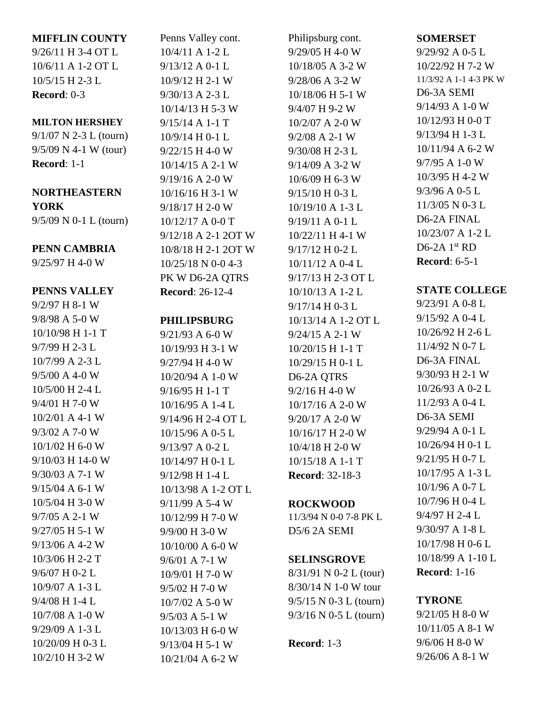### **MIFFLIN COUNTY**

9/26/11 H 3-4 OT L 10/6/11 A 1-2 OT L 10/5/15 H 2-3 L **Record**: 0-3

#### **MILTON HERSHEY**

9/1/07 N 2-3 L (tourn) 9/5/09 N 4-1 W (tour) **Record**: 1-1

# **NORTHEASTERN YORK**

9/5/09 N 0-1 L (tourn)

# **PENN CAMBRIA**

9/25/97 H 4-0 W

# **PENNS VALLEY**

9/2/97 H 8-1 W 9/8/98 A 5-0 W 10/10/98 H 1-1 T 9/7/99 H 2-3 L 10/7/99 A 2-3 L 9/5/00 A 4-0 W 10/5/00 H 2-4 L 9/4/01 H 7-0 W 10/2/01 A 4-1 W 9/3/02 A 7-0 W 10/1/02 H 6-0 W 9/10/03 H 14-0 W 9/30/03 A 7-1 W 9/15/04 A 6-1 W 10/5/04 H 3-0 W 9/7/05 A 2-1 W 9/27/05 H 5-1 W 9/13/06 A 4-2 W 10/3/06 H 2-2 T 9/6/07 H 0-2 L 10/9/07 A 1-3 L 9/4/08 H 1-4 L 10/7/08 A 1-0 W 9/29/09 A 1-3 L 10/20/09 H 0-3 L 10/2/10 H 3-2 W

Penns Valley cont. 10/4/11 A 1-2 L 9/13/12 A 0-1 L 10/9/12 H 2-1 W 9/30/13 A 2-3 L 10/14/13 H 5-3 W 9/15/14 A 1-1 T 10/9/14 H 0-1 L 9/22/15 H 4-0 W 10/14/15 A 2-1 W 9/19/16 A 2-0 W 10/16/16 H 3-1 W 9/18/17 H 2-0 W 10/12/17 A 0-0 T 9/12/18 A 2-1 2OT W 10/8/18 H 2-1 2OT W 10/25/18 N 0-0 4-3 PK W D6-2A QTRS **Record**: 26-12-4

# **PHILIPSBURG**

9/21/93 A 6-0 W 10/19/93 H 3-1 W 9/27/94 H 4-0 W 10/20/94 A 1-0 W 9/16/95 H 1-1 T 10/16/95 A 1-4 L 9/14/96 H 2-4 OT L 10/15/96 A 0-5 L 9/13/97 A 0-2 L 10/14/97 H 0-1 L 9/12/98 H 1-4 L 10/13/98 A 1-2 OT L 9/11/99 A 5-4 W 10/12/99 H 7-0 W 9/9/00 H 3-0 W 10/10/00 A 6-0 W 9/6/01 A 7-1 W 10/9/01 H 7-0 W 9/5/02 H 7-0 W 10/7/02 A 5-0 W 9/5/03 A 5-1 W 10/13/03 H 6-0 W 9/13/04 H 5-1 W 10/21/04 A 6-2 W

Philipsburg cont. 9/29/05 H 4-0 W 10/18/05 A 3-2 W 9/28/06 A 3-2 W 10/18/06 H 5-1 W 9/4/07 H 9-2 W 10/2/07 A 2-0 W 9/2/08 A 2-1 W 9/30/08 H 2-3 L 9/14/09 A 3-2 W 10/6/09 H 6-3 W 9/15/10 H 0-3 L 10/19/10 A 1-3 L 9/19/11 A 0-1 L 10/22/11 H 4-1 W 9/17/12 H 0-2 L 10/11/12 A 0-4 L 9/17/13 H 2-3 OT L 10/10/13 A 1-2 L 9/17/14 H 0-3 L 10/13/14 A 1-2 OT L 9/24/15 A 2-1 W 10/20/15 H 1-1 T 10/29/15 H 0-1 L D6-2A QTRS 9/2/16 H 4-0 W 10/17/16 A 2-0 W 9/20/17 A 2-0 W 10/16/17 H 2-0 W 10/4/18 H 2-0 W 10/15/18 A 1-1 T **Record**: 32-18-3

# **ROCKWOOD**

11/3/94 N 0-0 7-8 PK L D5/6 2A SEMI

### **SELINSGROVE**

8/31/91 N 0-2 L (tour) 8/30/14 N 1-0 W tour 9/5/15 N 0-3 L (tourn) 9/3/16 N 0-5 L (tourn)

# **Record**: 1-3

**SOMERSET**

9/29/92 A 0-5 L 10/22/92 H 7-2 W 11/3/92 A 1-1 4-3 PK W D6-3A SEMI 9/14/93 A 1-0 W 10/12/93 H 0-0 T 9/13/94 H 1-3 L 10/11/94 A 6-2 W 9/7/95 A 1-0 W 10/3/95 H 4-2 W 9/3/96 A 0-5 L 11/3/05 N 0-3 L D6-2A FINAL 10/23/07 A 1-2 L D6-2A  $1<sup>st</sup>$  RD **Record**: 6-5-1

# **STATE COLLEGE**

9/23/91 A 0-8 L 9/15/92 A 0-4 L 10/26/92 H 2-6 L 11/4/92 N 0-7 L D6-3A FINAL 9/30/93 H 2-1 W 10/26/93 A 0-2 L 11/2/93 A 0-4 L D6-3A SEMI 9/29/94 A 0-1 L 10/26/94 H 0-1 L 9/21/95 H 0-7 L 10/17/95 A 1-3 L 10/1/96 A 0-7 L 10/7/96 H 0-4 L 9/4/97 H 2-4 L 9/30/97 A 1-8 L 10/17/98 H 0-6 L 10/18/99 A 1-10 L **Record**: 1-16

# **TYRONE**

9/21/05 H 8-0 W 10/11/05 A 8-1 W 9/6/06 H 8-0 W 9/26/06 A 8-1 W